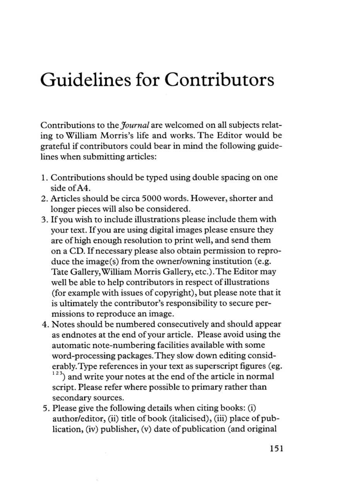## Guidelines for Contributors

Contributions to the *Journal* are welcomed on all subjects relating to William Morris's life and works. The Editor would be grateful if contributors could bear in mind the following guidelines when submitting articles:

- 1. Contributions should be typed using double spacing on one side of A4.
- 2. Articles should be circa 5000 words. However, shorter and longer pieces will also be considered.
- 3. If you wish to include illustrations please include them with your text. If you are using digital images please ensure they are of high enough resolution to print well, and send them on a CD. If necessary please also obtain permission to reproduce the image(s) from the owner/owning institution (e.g. Tate Gallery, William Morris Gallery, ctc.). The Editor may well be able to help contributors in respect of illustrations (for example with issues of copyright), but please note that it is ultimately the contributor's responsibility to secure permissions to reproduce an image.
- 4. Notes should be numbered consecutively and should appear as endnotes at the end of your article. Please avoid using the automatic note-numbering facilities available with some word-processing packages. They slow down editing considerably. Type references in your text as superscript figures (eg.  $123$ ) and write your notes at the end of the article in normal script. Please refer where possible to primary rather than secondary sources.
- 5. Please give the following details when citing books: (i) author/editor, (ii) title of book (italicised), (iii) place of publication, (iv) publisher, (v) date of publication (and original